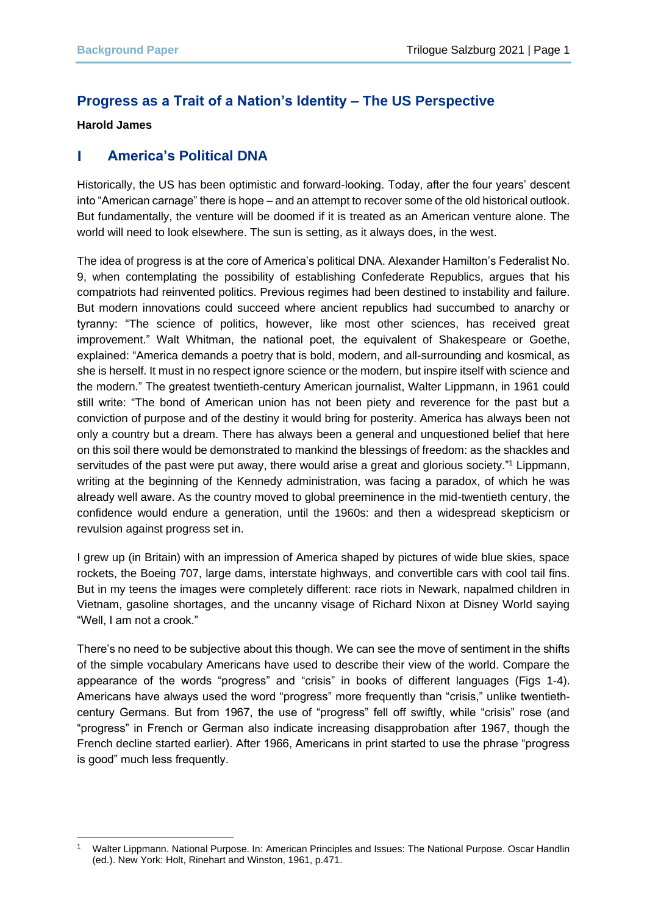# **Progress as a Trait of a Nation's Identity – The US Perspective**

### **Harold James**

#### П **America's Political DNA**

Historically, the US has been optimistic and forward-looking. Today, after the four years' descent into "American carnage" there is hope – and an attempt to recover some of the old historical outlook. But fundamentally, the venture will be doomed if it is treated as an American venture alone. The world will need to look elsewhere. The sun is setting, as it always does, in the west.

The idea of progress is at the core of America's political DNA. Alexander Hamilton's Federalist No. 9, when contemplating the possibility of establishing Confederate Republics, argues that his compatriots had reinvented politics. Previous regimes had been destined to instability and failure. But modern innovations could succeed where ancient republics had succumbed to anarchy or tyranny: "The science of politics, however, like most other sciences, has received great improvement." Walt Whitman, the national poet, the equivalent of Shakespeare or Goethe, explained: "America demands a poetry that is bold, modern, and all-surrounding and kosmical, as she is herself. It must in no respect ignore science or the modern, but inspire itself with science and the modern." The greatest twentieth-century American journalist, Walter Lippmann, in 1961 could still write: "The bond of American union has not been piety and reverence for the past but a conviction of purpose and of the destiny it would bring for posterity. America has always been not only a country but a dream. There has always been a general and unquestioned belief that here on this soil there would be demonstrated to mankind the blessings of freedom: as the shackles and servitudes of the past were put away, there would arise a great and glorious society."<sup>1</sup> Lippmann, writing at the beginning of the Kennedy administration, was facing a paradox, of which he was already well aware. As the country moved to global preeminence in the mid-twentieth century, the confidence would endure a generation, until the 1960s: and then a widespread skepticism or revulsion against progress set in.

I grew up (in Britain) with an impression of America shaped by pictures of wide blue skies, space rockets, the Boeing 707, large dams, interstate highways, and convertible cars with cool tail fins. But in my teens the images were completely different: race riots in Newark, napalmed children in Vietnam, gasoline shortages, and the uncanny visage of Richard Nixon at Disney World saying "Well, I am not a crook."

There's no need to be subjective about this though. We can see the move of sentiment in the shifts of the simple vocabulary Americans have used to describe their view of the world. Compare the appearance of the words "progress" and "crisis" in books of different languages (Figs 1-4). Americans have always used the word "progress" more frequently than "crisis," unlike twentiethcentury Germans. But from 1967, the use of "progress" fell off swiftly, while "crisis" rose (and "progress" in French or German also indicate increasing disapprobation after 1967, though the French decline started earlier). After 1966, Americans in print started to use the phrase "progress is good" much less frequently.

<sup>1</sup> Walter Lippmann. National Purpose. In: American Principles and Issues: The National Purpose. Oscar Handlin (ed.). New York: Holt, Rinehart and Winston, 1961, p.471.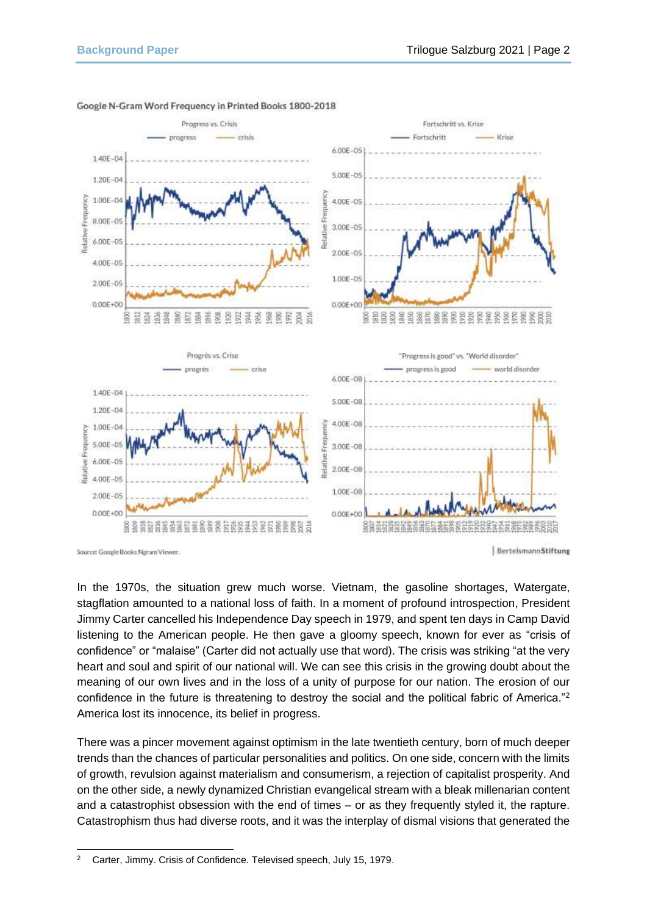

### Google N-Gram Word Frequency in Printed Books 1800-2018

In the 1970s, the situation grew much worse. Vietnam, the gasoline shortages, Watergate, stagflation amounted to a national loss of faith. In a moment of profound introspection, President Jimmy Carter cancelled his Independence Day speech in 1979, and spent ten days in Camp David listening to the American people. He then gave a gloomy speech, known for ever as "crisis of confidence" or "malaise" (Carter did not actually use that word). The crisis was striking "at the very heart and soul and spirit of our national will. We can see this crisis in the growing doubt about the meaning of our own lives and in the loss of a unity of purpose for our nation. The erosion of our confidence in the future is threatening to destroy the social and the political fabric of America."<sup>2</sup> America lost its innocence, its belief in progress.

There was a pincer movement against optimism in the late twentieth century, born of much deeper trends than the chances of particular personalities and politics. On one side, concern with the limits of growth, revulsion against materialism and consumerism, a rejection of capitalist prosperity. And on the other side, a newly dynamized Christian evangelical stream with a bleak millenarian content and a catastrophist obsession with the end of times – or as they frequently styled it, the rapture. Catastrophism thus had diverse roots, and it was the interplay of dismal visions that generated the

Source: Google Books Ngram Viewer.

BertelsmannStiftung

<sup>&</sup>lt;sup>2</sup> Carter, Jimmy. Crisis of Confidence. Televised speech, July 15, 1979.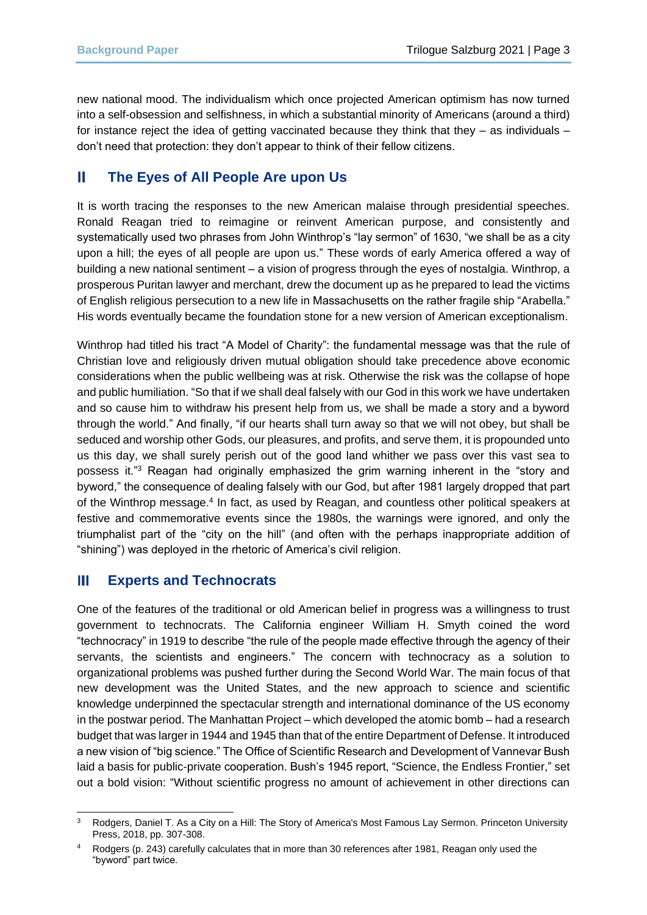new national mood. The individualism which once projected American optimism has now turned into a self-obsession and selfishness, in which a substantial minority of Americans (around a third) for instance reject the idea of getting vaccinated because they think that they  $-$  as individuals  $$ don't need that protection: they don't appear to think of their fellow citizens.

#### **The Eyes of All People Are upon Us** Ш

It is worth tracing the responses to the new American malaise through presidential speeches. Ronald Reagan tried to reimagine or reinvent American purpose, and consistently and systematically used two phrases from John Winthrop's "lay sermon" of 1630, "we shall be as a city upon a hill; the eyes of all people are upon us." These words of early America offered a way of building a new national sentiment – a vision of progress through the eyes of nostalgia. Winthrop, a prosperous Puritan lawyer and merchant, drew the document up as he prepared to lead the victims of English religious persecution to a new life in Massachusetts on the rather fragile ship "Arabella." His words eventually became the foundation stone for a new version of American exceptionalism.

Winthrop had titled his tract "A Model of Charity": the fundamental message was that the rule of Christian love and religiously driven mutual obligation should take precedence above economic considerations when the public wellbeing was at risk. Otherwise the risk was the collapse of hope and public humiliation. "So that if we shall deal falsely with our God in this work we have undertaken and so cause him to withdraw his present help from us, we shall be made a story and a byword through the world." And finally, "if our hearts shall turn away so that we will not obey, but shall be seduced and worship other Gods, our pleasures, and profits, and serve them, it is propounded unto us this day, we shall surely perish out of the good land whither we pass over this vast sea to possess it."<sup>3</sup> Reagan had originally emphasized the grim warning inherent in the "story and byword," the consequence of dealing falsely with our God, but after 1981 largely dropped that part of the Winthrop message.<sup>4</sup> In fact, as used by Reagan, and countless other political speakers at festive and commemorative events since the 1980s, the warnings were ignored, and only the triumphalist part of the "city on the hill" (and often with the perhaps inappropriate addition of "shining") was deployed in the rhetoric of America's civil religion.

#### **Experts and Technocrats** Ш

One of the features of the traditional or old American belief in progress was a willingness to trust government to technocrats. The California engineer William H. Smyth coined the word "technocracy" in 1919 to describe "the rule of the people made effective through the agency of their servants, the scientists and engineers." The concern with technocracy as a solution to organizational problems was pushed further during the Second World War. The main focus of that new development was the United States, and the new approach to science and scientific knowledge underpinned the spectacular strength and international dominance of the US economy in the postwar period. The Manhattan Project – which developed the atomic bomb – had a research budget that was larger in 1944 and 1945 than that of the entire Department of Defense. It introduced a new vision of "big science." The Office of Scientific Research and Development of Vannevar Bush laid a basis for public-private cooperation. Bush's 1945 report, "Science, the Endless Frontier," set out a bold vision: "Without scientific progress no amount of achievement in other directions can

Rodgers, Daniel T. As a City on a Hill: The Story of America's Most Famous Lay Sermon. Princeton University Press, 2018, pp. 307-308.

Rodgers (p. 243) carefully calculates that in more than 30 references after 1981, Reagan only used the "byword" part twice.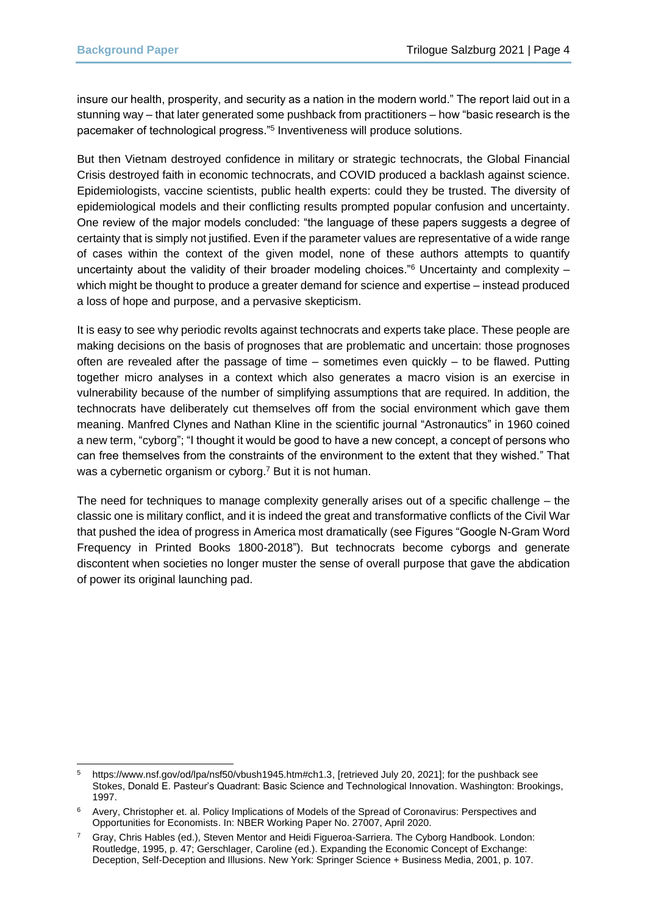insure our health, prosperity, and security as a nation in the modern world." The report laid out in a stunning way – that later generated some pushback from practitioners – how "basic research is the pacemaker of technological progress."<sup>5</sup> Inventiveness will produce solutions.

But then Vietnam destroyed confidence in military or strategic technocrats, the Global Financial Crisis destroyed faith in economic technocrats, and COVID produced a backlash against science. Epidemiologists, vaccine scientists, public health experts: could they be trusted. The diversity of epidemiological models and their conflicting results prompted popular confusion and uncertainty. One review of the major models concluded: "the language of these papers suggests a degree of certainty that is simply not justified. Even if the parameter values are representative of a wide range of cases within the context of the given model, none of these authors attempts to quantify uncertainty about the validity of their broader modeling choices."<sup>6</sup> Uncertainty and complexity  $$ which might be thought to produce a greater demand for science and expertise – instead produced a loss of hope and purpose, and a pervasive skepticism.

It is easy to see why periodic revolts against technocrats and experts take place. These people are making decisions on the basis of prognoses that are problematic and uncertain: those prognoses often are revealed after the passage of time – sometimes even quickly – to be flawed. Putting together micro analyses in a context which also generates a macro vision is an exercise in vulnerability because of the number of simplifying assumptions that are required. In addition, the technocrats have deliberately cut themselves off from the social environment which gave them meaning. Manfred Clynes and Nathan Kline in the scientific journal "Astronautics" in 1960 coined a new term, "cyborg"; "I thought it would be good to have a new concept, a concept of persons who can free themselves from the constraints of the environment to the extent that they wished." That was a cybernetic organism or cyborg.<sup>7</sup> But it is not human.

The need for techniques to manage complexity generally arises out of a specific challenge – the classic one is military conflict, and it is indeed the great and transformative conflicts of the Civil War that pushed the idea of progress in America most dramatically (see Figures "Google N-Gram Word Frequency in Printed Books 1800-2018"). But technocrats become cyborgs and generate discontent when societies no longer muster the sense of overall purpose that gave the abdication of power its original launching pad.

<sup>5</sup> [https://www.nsf.gov/od/lpa/nsf50/vbush1945.htm#ch1.3,](https://www.nsf.gov/od/lpa/nsf50/vbush1945.htm#ch1.3) [retrieved July 20, 2021]; for the pushback see Stokes, Donald E. Pasteur's Quadrant: Basic Science and Technological Innovation. Washington: Brookings, 1997.

<sup>&</sup>lt;sup>6</sup> Avery, Christopher et. al. Policy Implications of Models of the Spread of Coronavirus: Perspectives and Opportunities for Economists. In: NBER Working Paper No. 27007, April 2020.

<sup>7</sup> Gray, Chris Hables (ed.), Steven Mentor and Heidi Figueroa-Sarriera. The Cyborg Handbook. London: Routledge, 1995, p. 47; Gerschlager, Caroline (ed.). Expanding the Economic Concept of Exchange: Deception, Self-Deception and Illusions. New York: Springer Science + Business Media, 2001, p. 107.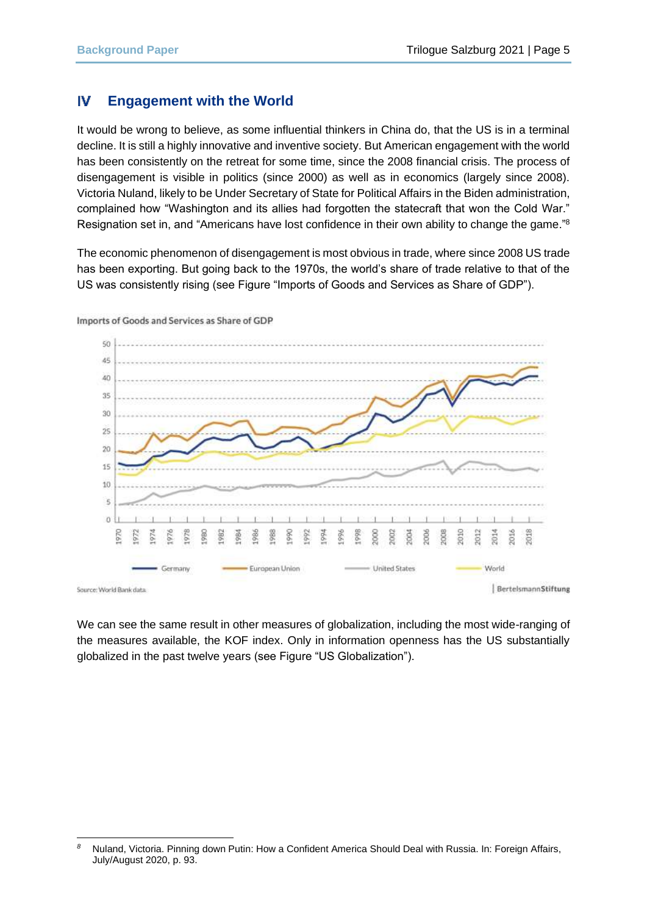#### IV **Engagement with the World**

It would be wrong to believe, as some influential thinkers in China do, that the US is in a terminal decline. It is still a highly innovative and inventive society. But American engagement with the world has been consistently on the retreat for some time, since the 2008 financial crisis. The process of disengagement is visible in politics (since 2000) as well as in economics (largely since 2008). Victoria Nuland, likely to be Under Secretary of State for Political Affairs in the Biden administration, complained how "Washington and its allies had forgotten the statecraft that won the Cold War." Resignation set in, and "Americans have lost confidence in their own ability to change the game."<sup>8</sup>

The economic phenomenon of disengagement is most obvious in trade, where since 2008 US trade has been exporting. But going back to the 1970s, the world's share of trade relative to that of the US was consistently rising (see Figure "Imports of Goods and Services as Share of GDP").



Imports of Goods and Services as Share of GDP

Source: World Bank data

BertelsmannStiftung

We can see the same result in other measures of globalization, including the most wide-ranging of the measures available, the KOF index. Only in information openness has the US substantially globalized in the past twelve years (see Figure "US Globalization").

*<sup>8</sup>* Nuland, Victoria. Pinning down Putin: How a Confident America Should Deal with Russia. In: Foreign Affairs, July/August 2020, p. 93.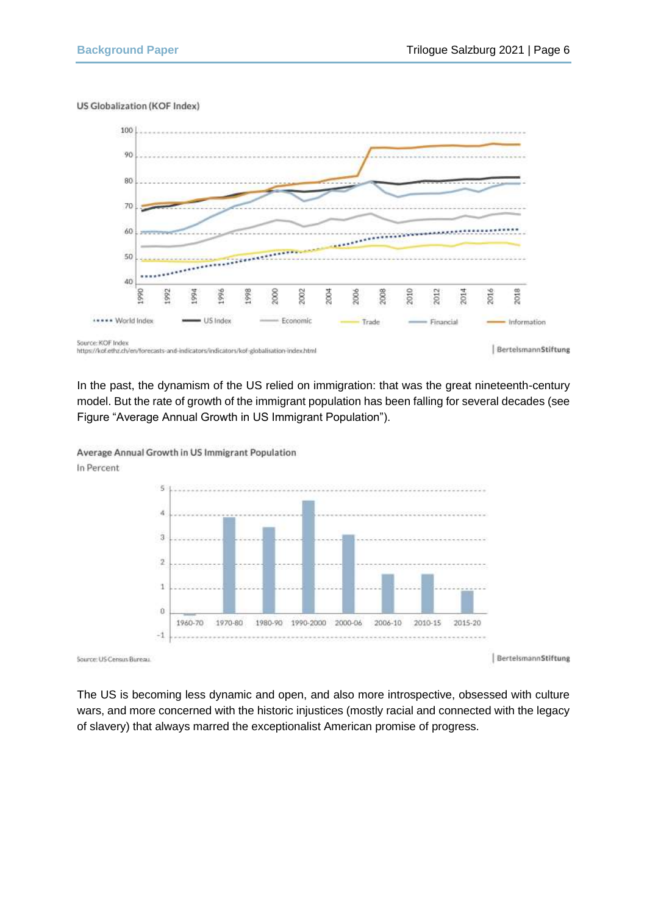### US Globalization (KOF Index)



In the past, the dynamism of the US relied on immigration: that was the great nineteenth-century model. But the rate of growth of the immigrant population has been falling for several decades (see Figure "Average Annual Growth in US Immigrant Population").

> S  $\overline{\mathbf{a}}$  $\overline{3}$  $\overline{2}$  $\mathbf{1}$  $\theta$ 1960-70 1970-80 1980-90 1990-2000 2000-06 2006-10 2010-15 2015-20  $-1$

Average Annual Growth in US Immigrant Population In Percent

Source: US Census Bureau

BerteismannStiftung

The US is becoming less dynamic and open, and also more introspective, obsessed with culture wars, and more concerned with the historic injustices (mostly racial and connected with the legacy of slavery) that always marred the exceptionalist American promise of progress.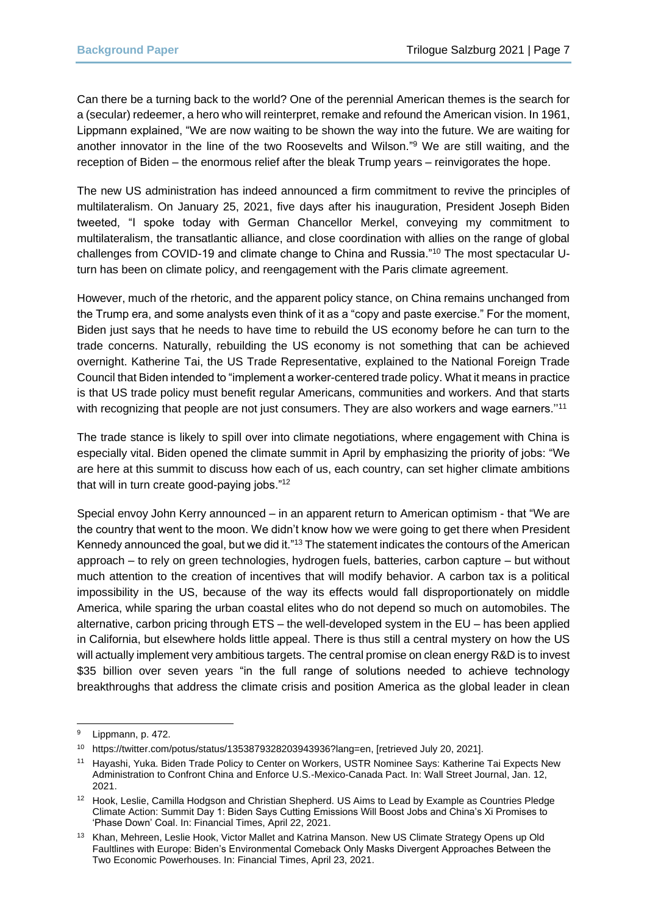Can there be a turning back to the world? One of the perennial American themes is the search for a (secular) redeemer, a hero who will reinterpret, remake and refound the American vision. In 1961, Lippmann explained, "We are now waiting to be shown the way into the future. We are waiting for another innovator in the line of the two Roosevelts and Wilson." <sup>9</sup> We are still waiting, and the reception of Biden – the enormous relief after the bleak Trump years – reinvigorates the hope.

The new US administration has indeed announced a firm commitment to revive the principles of multilateralism. On January 25, 2021, five days after his inauguration, President Joseph Biden tweeted, "I spoke today with German Chancellor Merkel, conveying my commitment to multilateralism, the transatlantic alliance, and close coordination with allies on the range of global challenges from COVID-19 and climate change to China and Russia."<sup>10</sup> The most spectacular Uturn has been on climate policy, and reengagement with the Paris climate agreement.

However, much of the rhetoric, and the apparent policy stance, on China remains unchanged from the Trump era, and some analysts even think of it as a "copy and paste exercise." For the moment, Biden just says that he needs to have time to rebuild the US economy before he can turn to the trade concerns. Naturally, rebuilding the US economy is not something that can be achieved overnight. Katherine Tai, the US Trade Representative, explained to the National Foreign Trade Council that Biden intended to "implement a worker-centered trade policy. What it means in practice is that US trade policy must benefit regular Americans, communities and workers. And that starts with recognizing that people are not just consumers. They are also workers and wage earners."<sup>11</sup>

The trade stance is likely to spill over into climate negotiations, where engagement with China is especially vital. Biden opened the climate summit in April by emphasizing the priority of jobs: "We are here at this summit to discuss how each of us, each country, can set higher climate ambitions that will in turn create good-paying jobs."<sup>12</sup>

Special envoy John Kerry announced – in an apparent return to American optimism - that "We are the country that went to the moon. We didn't know how we were going to get there when President Kennedy announced the goal, but we did it."<sup>13</sup> The statement indicates the contours of the American approach – to rely on green technologies, hydrogen fuels, batteries, carbon capture – but without much attention to the creation of incentives that will modify behavior. A carbon tax is a political impossibility in the US, because of the way its effects would fall disproportionately on middle America, while sparing the urban coastal elites who do not depend so much on automobiles. The alternative, carbon pricing through ETS – the well-developed system in the EU – has been applied in California, but elsewhere holds little appeal. There is thus still a central mystery on how the US will actually implement very ambitious targets. The central promise on clean energy R&D is to invest \$35 billion over seven years "in the full range of solutions needed to achieve technology breakthroughs that address the climate crisis and position America as the global leader in clean

<sup>9</sup> Lippmann, p. 472.

<sup>10</sup> https://twitter.com/potus/status/1353879328203943936?lang=en, [retrieved July 20, 2021].

<sup>&</sup>lt;sup>11</sup> Hayashi, Yuka. Biden Trade Policy to Center on Workers, USTR Nominee Savs: Katherine Tai Expects New Administration to Confront China and Enforce U.S.-Mexico-Canada Pact. In: Wall Street Journal, Jan. 12, 2021.

<sup>&</sup>lt;sup>12</sup> Hook, Leslie, Camilla Hodgson and Christian Shepherd. US Aims to Lead by Example as Countries Pledge Climate Action: Summit Day 1: Biden Says Cutting Emissions Will Boost Jobs and China's Xi Promises to 'Phase Down' Coal. In: Financial Times, April 22, 2021.

<sup>&</sup>lt;sup>13</sup> Khan, Mehreen, Leslie Hook, Victor Mallet and Katrina Manson. New US Climate Strategy Opens up Old Faultlines with Europe: Biden's Environmental Comeback Only Masks Divergent Approaches Between the Two Economic Powerhouses. In: Financial Times, April 23, 2021.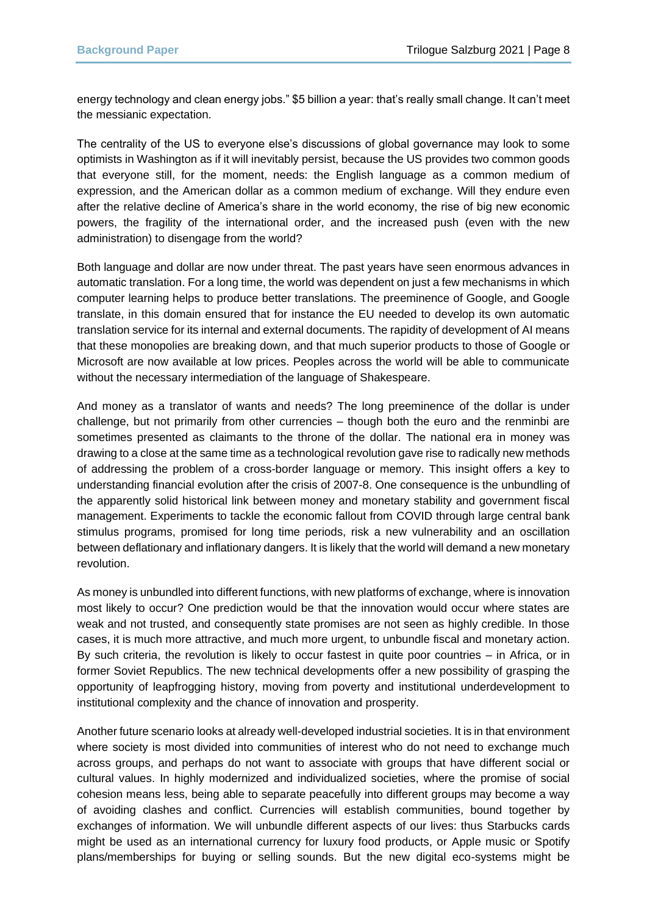energy technology and clean energy jobs." \$5 billion a year: that's really small change. It can't meet the messianic expectation.

The centrality of the US to everyone else's discussions of global governance may look to some optimists in Washington as if it will inevitably persist, because the US provides two common goods that everyone still, for the moment, needs: the English language as a common medium of expression, and the American dollar as a common medium of exchange. Will they endure even after the relative decline of America's share in the world economy, the rise of big new economic powers, the fragility of the international order, and the increased push (even with the new administration) to disengage from the world?

Both language and dollar are now under threat. The past years have seen enormous advances in automatic translation. For a long time, the world was dependent on just a few mechanisms in which computer learning helps to produce better translations. The preeminence of Google, and Google translate, in this domain ensured that for instance the EU needed to develop its own automatic translation service for its internal and external documents. The rapidity of development of AI means that these monopolies are breaking down, and that much superior products to those of Google or Microsoft are now available at low prices. Peoples across the world will be able to communicate without the necessary intermediation of the language of Shakespeare.

And money as a translator of wants and needs? The long preeminence of the dollar is under challenge, but not primarily from other currencies – though both the euro and the renminbi are sometimes presented as claimants to the throne of the dollar. The national era in money was drawing to a close at the same time as a technological revolution gave rise to radically new methods of addressing the problem of a cross-border language or memory. This insight offers a key to understanding financial evolution after the crisis of 2007-8. One consequence is the unbundling of the apparently solid historical link between money and monetary stability and government fiscal management. Experiments to tackle the economic fallout from COVID through large central bank stimulus programs, promised for long time periods, risk a new vulnerability and an oscillation between deflationary and inflationary dangers. It is likely that the world will demand a new monetary revolution.

As money is unbundled into different functions, with new platforms of exchange, where is innovation most likely to occur? One prediction would be that the innovation would occur where states are weak and not trusted, and consequently state promises are not seen as highly credible. In those cases, it is much more attractive, and much more urgent, to unbundle fiscal and monetary action. By such criteria, the revolution is likely to occur fastest in quite poor countries – in Africa, or in former Soviet Republics. The new technical developments offer a new possibility of grasping the opportunity of leapfrogging history, moving from poverty and institutional underdevelopment to institutional complexity and the chance of innovation and prosperity.

Another future scenario looks at already well-developed industrial societies. It is in that environment where society is most divided into communities of interest who do not need to exchange much across groups, and perhaps do not want to associate with groups that have different social or cultural values. In highly modernized and individualized societies, where the promise of social cohesion means less, being able to separate peacefully into different groups may become a way of avoiding clashes and conflict. Currencies will establish communities, bound together by exchanges of information. We will unbundle different aspects of our lives: thus Starbucks cards might be used as an international currency for luxury food products, or Apple music or Spotify plans/memberships for buying or selling sounds. But the new digital eco-systems might be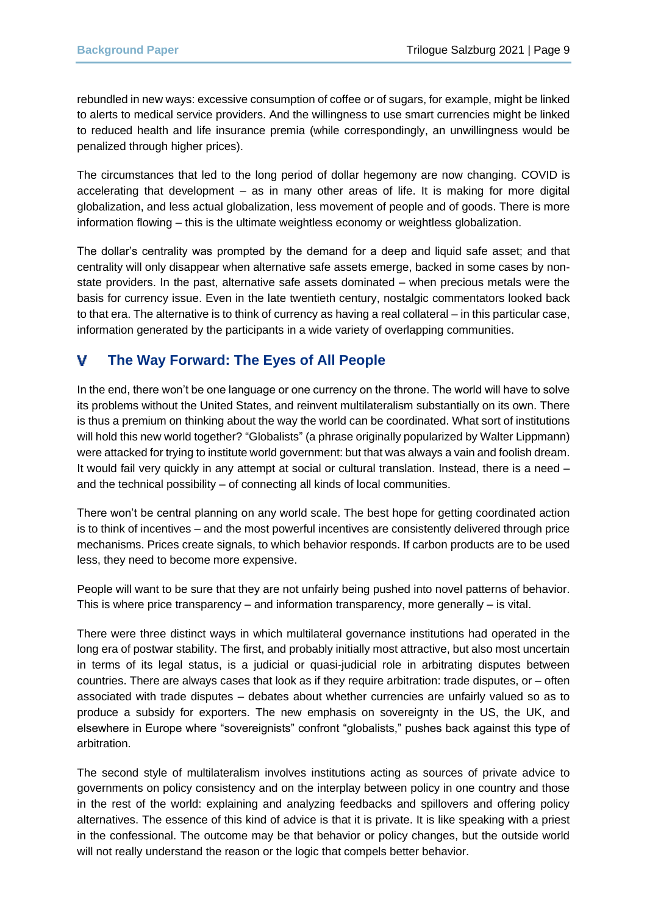rebundled in new ways: excessive consumption of coffee or of sugars, for example, might be linked to alerts to medical service providers. And the willingness to use smart currencies might be linked to reduced health and life insurance premia (while correspondingly, an unwillingness would be penalized through higher prices).

The circumstances that led to the long period of dollar hegemony are now changing. COVID is accelerating that development – as in many other areas of life. It is making for more digital globalization, and less actual globalization, less movement of people and of goods. There is more information flowing – this is the ultimate weightless economy or weightless globalization.

The dollar's centrality was prompted by the demand for a deep and liquid safe asset; and that centrality will only disappear when alternative safe assets emerge, backed in some cases by nonstate providers. In the past, alternative safe assets dominated – when precious metals were the basis for currency issue. Even in the late twentieth century, nostalgic commentators looked back to that era. The alternative is to think of currency as having a real collateral – in this particular case, information generated by the participants in a wide variety of overlapping communities.

#### v **The Way Forward: The Eyes of All People**

In the end, there won't be one language or one currency on the throne. The world will have to solve its problems without the United States, and reinvent multilateralism substantially on its own. There is thus a premium on thinking about the way the world can be coordinated. What sort of institutions will hold this new world together? "Globalists" (a phrase originally popularized by Walter Lippmann) were attacked for trying to institute world government: but that was always a vain and foolish dream. It would fail very quickly in any attempt at social or cultural translation. Instead, there is a need – and the technical possibility – of connecting all kinds of local communities.

There won't be central planning on any world scale. The best hope for getting coordinated action is to think of incentives – and the most powerful incentives are consistently delivered through price mechanisms. Prices create signals, to which behavior responds. If carbon products are to be used less, they need to become more expensive.

People will want to be sure that they are not unfairly being pushed into novel patterns of behavior. This is where price transparency – and information transparency, more generally – is vital.

There were three distinct ways in which multilateral governance institutions had operated in the long era of postwar stability. The first, and probably initially most attractive, but also most uncertain in terms of its legal status, is a judicial or quasi-judicial role in arbitrating disputes between countries. There are always cases that look as if they require arbitration: trade disputes, or – often associated with trade disputes – debates about whether currencies are unfairly valued so as to produce a subsidy for exporters. The new emphasis on sovereignty in the US, the UK, and elsewhere in Europe where "sovereignists" confront "globalists," pushes back against this type of arbitration.

The second style of multilateralism involves institutions acting as sources of private advice to governments on policy consistency and on the interplay between policy in one country and those in the rest of the world: explaining and analyzing feedbacks and spillovers and offering policy alternatives. The essence of this kind of advice is that it is private. It is like speaking with a priest in the confessional. The outcome may be that behavior or policy changes, but the outside world will not really understand the reason or the logic that compels better behavior.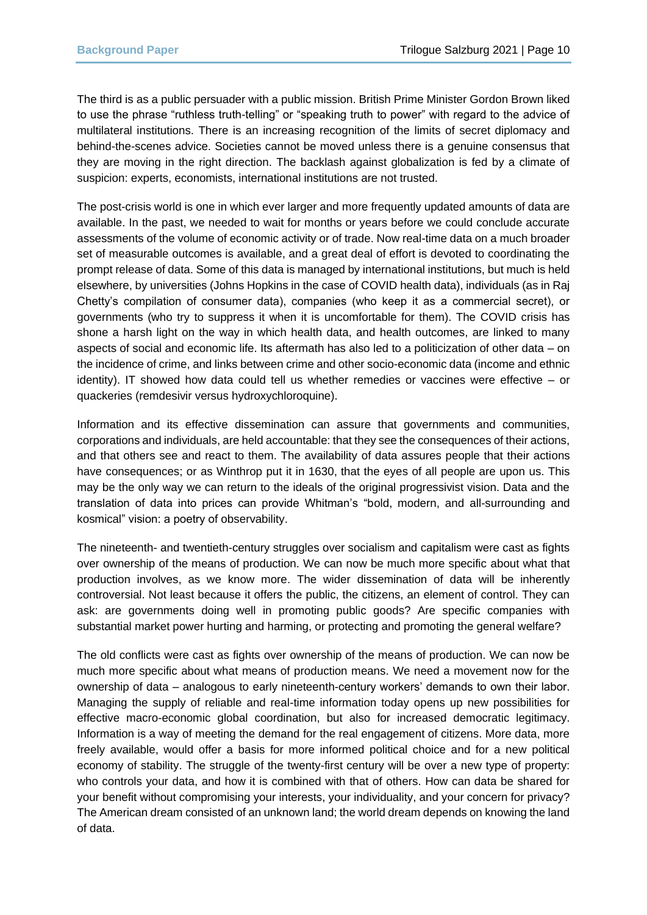The third is as a public persuader with a public mission. British Prime Minister Gordon Brown liked to use the phrase "ruthless truth-telling" or "speaking truth to power" with regard to the advice of multilateral institutions. There is an increasing recognition of the limits of secret diplomacy and behind-the-scenes advice. Societies cannot be moved unless there is a genuine consensus that they are moving in the right direction. The backlash against globalization is fed by a climate of suspicion: experts, economists, international institutions are not trusted.

The post-crisis world is one in which ever larger and more frequently updated amounts of data are available. In the past, we needed to wait for months or years before we could conclude accurate assessments of the volume of economic activity or of trade. Now real-time data on a much broader set of measurable outcomes is available, and a great deal of effort is devoted to coordinating the prompt release of data. Some of this data is managed by international institutions, but much is held elsewhere, by universities (Johns Hopkins in the case of COVID health data), individuals (as in Raj Chetty's compilation of consumer data), companies (who keep it as a commercial secret), or governments (who try to suppress it when it is uncomfortable for them). The COVID crisis has shone a harsh light on the way in which health data, and health outcomes, are linked to many aspects of social and economic life. Its aftermath has also led to a politicization of other data – on the incidence of crime, and links between crime and other socio-economic data (income and ethnic identity). IT showed how data could tell us whether remedies or vaccines were effective – or quackeries (remdesivir versus hydroxychloroquine).

Information and its effective dissemination can assure that governments and communities, corporations and individuals, are held accountable: that they see the consequences of their actions, and that others see and react to them. The availability of data assures people that their actions have consequences; or as Winthrop put it in 1630, that the eyes of all people are upon us. This may be the only way we can return to the ideals of the original progressivist vision. Data and the translation of data into prices can provide Whitman's "bold, modern, and all-surrounding and kosmical" vision: a poetry of observability.

The nineteenth- and twentieth-century struggles over socialism and capitalism were cast as fights over ownership of the means of production. We can now be much more specific about what that production involves, as we know more. The wider dissemination of data will be inherently controversial. Not least because it offers the public, the citizens, an element of control. They can ask: are governments doing well in promoting public goods? Are specific companies with substantial market power hurting and harming, or protecting and promoting the general welfare?

The old conflicts were cast as fights over ownership of the means of production. We can now be much more specific about what means of production means. We need a movement now for the ownership of data – analogous to early nineteenth-century workers' demands to own their labor. Managing the supply of reliable and real-time information today opens up new possibilities for effective macro-economic global coordination, but also for increased democratic legitimacy. Information is a way of meeting the demand for the real engagement of citizens. More data, more freely available, would offer a basis for more informed political choice and for a new political economy of stability. The struggle of the twenty-first century will be over a new type of property: who controls your data, and how it is combined with that of others. How can data be shared for your benefit without compromising your interests, your individuality, and your concern for privacy? The American dream consisted of an unknown land; the world dream depends on knowing the land of data.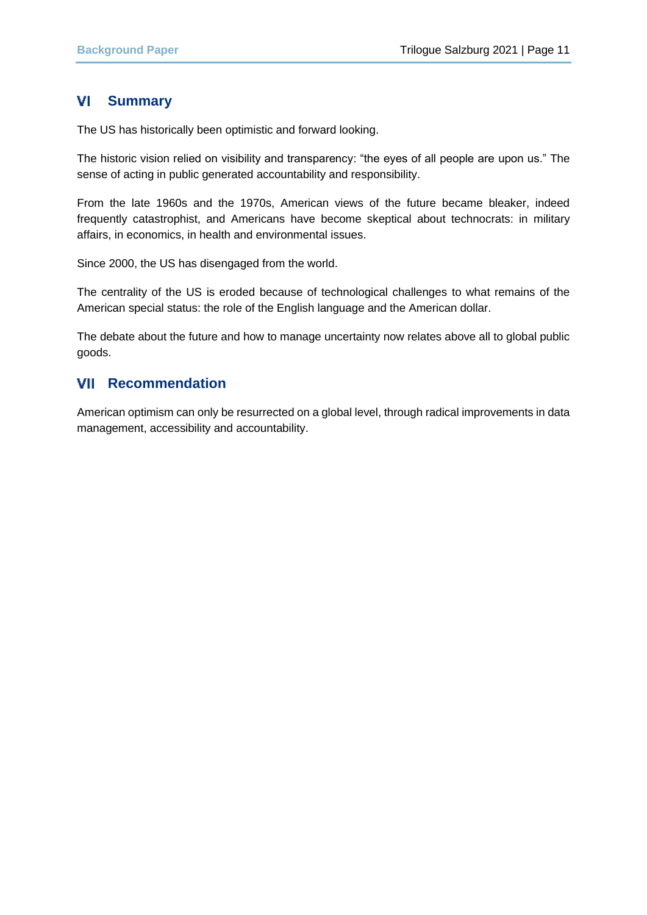#### **Summary** VL

The US has historically been optimistic and forward looking.

The historic vision relied on visibility and transparency: "the eyes of all people are upon us." The sense of acting in public generated accountability and responsibility.

From the late 1960s and the 1970s, American views of the future became bleaker, indeed frequently catastrophist, and Americans have become skeptical about technocrats: in military affairs, in economics, in health and environmental issues.

Since 2000, the US has disengaged from the world.

The centrality of the US is eroded because of technological challenges to what remains of the American special status: the role of the English language and the American dollar.

The debate about the future and how to manage uncertainty now relates above all to global public goods.

## **VII** Recommendation

American optimism can only be resurrected on a global level, through radical improvements in data management, accessibility and accountability.